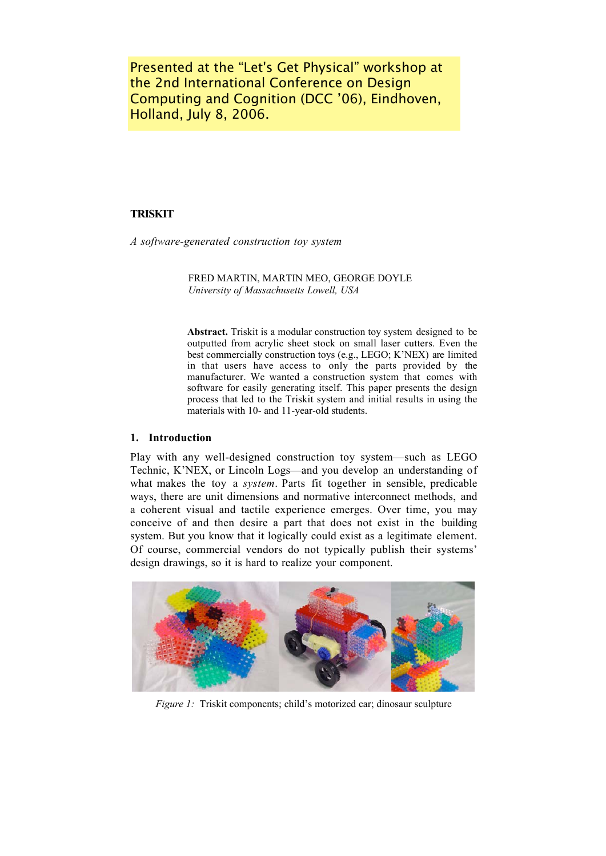Presented at the "Let's Get Physical" workshop at the 2nd International Conference on Design Computing and Cognition (DCC '06), Eindhoven, Holland, July 8, 2006.

# **TRISKIT**

A software-generated construction toy system

FRED MARTIN, MARTIN MEO, GEORGE DOYLE University of Massachusetts Lowell, USA

Abstract. Triskit is a modular construction toy system designed to be outputted from acrylic sheet stock on small laser cutters. Even the best commercially construction toys (e.g., LEGO; K'NEX) are limited in that users have access to only the parts provided by the manufacturer. We wanted a construction system that comes with software for easily generating itself. This paper presents the design process that led to the Triskit system and initial results in using the materials with 10- and 11-year-old students.

# 1. Introduction

Play with any well-designed construction toy system—such as LEGO Technic, K'NEX, or Lincoln Logs—and you develop an understanding of what makes the toy a system. Parts fit together in sensible, predicable ways, there are unit dimensions and normative interconnect methods, and a coherent visual and tactile experience emerges. Over time, you may conceive of and then desire a part that does not exist in the building system. But you know that it logically could exist as a legitimate element. Of course, commercial vendors do not typically publish their systems' design drawings, so it is hard to realize your component.



Figure 1: Triskit components; child's motorized car; dinosaur sculpture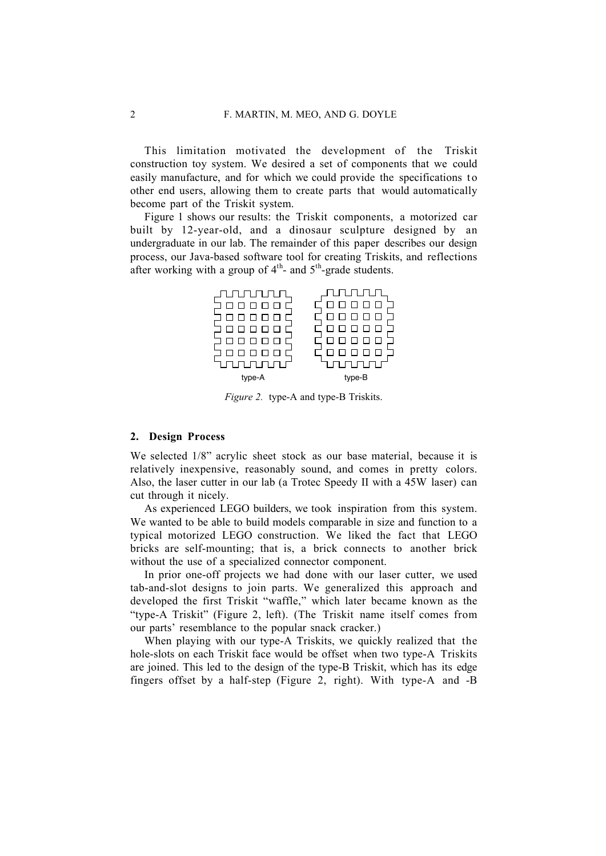This limitation motivated the development of the Triskit construction toy system. We desired a set of components that we could easily manufacture, and for which we could provide the specifications to other end users, allowing them to create parts that would automatically become part of the Triskit system.

Figure 1 shows our results: the Triskit components, a motorized car built by 12-year-old, and a dinosaur sculpture designed by an undergraduate in our lab. The remainder of this paper describes our design process, our Java-based software tool for creating Triskits, and reflections after working with a group of  $4<sup>th</sup>$ - and  $5<sup>th</sup>$ -grade students.

| ┖     |        |
|-------|--------|
|       |        |
| type- | type-B |

Figure 2. type-A and type-B Triskits.

### 2. Design Process

We selected 1/8" acrylic sheet stock as our base material, because it is relatively inexpensive, reasonably sound, and comes in pretty colors. Also, the laser cutter in our lab (a Trotec Speedy II with a 45W laser) can cut through it nicely.

As experienced LEGO builders, we took inspiration from this system. We wanted to be able to build models comparable in size and function to a typical motorized LEGO construction. We liked the fact that LEGO bricks are self-mounting; that is, a brick connects to another brick without the use of a specialized connector component.

In prior one-off projects we had done with our laser cutter, we used tab-and-slot designs to join parts. We generalized this approach and developed the first Triskit "waffle," which later became known as the "type-A Triskit" (Figure 2, left). (The Triskit name itself comes from our parts' resemblance to the popular snack cracker.)

When playing with our type-A Triskits, we quickly realized that the hole-slots on each Triskit face would be offset when two type-A Triskits are joined. This led to the design of the type-B Triskit, which has its edge fingers offset by a half-step (Figure 2, right). With type-A and -B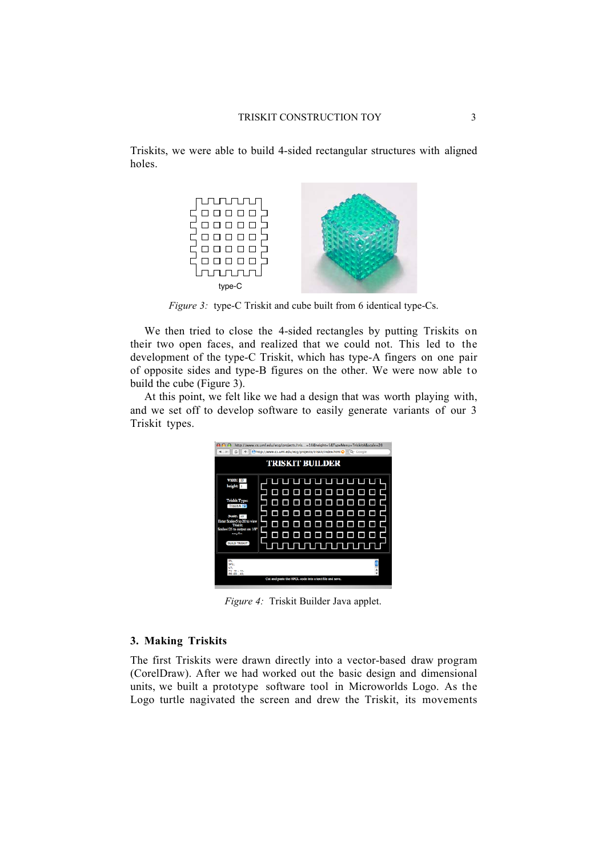Triskits, we were able to build 4-sided rectangular structures with aligned holes.



Figure 3: type-C Triskit and cube built from 6 identical type-Cs.

We then tried to close the 4-sided rectangles by putting Triskits on their two open faces, and realized that we could not. This led to the development of the type-C Triskit, which has type-A fingers on one pair of opposite sides and type-B figures on the other. We were now able t o build the cube (Figure 3).

At this point, we felt like we had a design that was worth playing with, and we set off to develop software to easily generate variants of our 3 Triskit types.

| http://www.cs.uml.edu/ecg/projects/tris=10&height=5&TypeMenu=TriskitA&scale=20<br>http://www.cs.uml.edu/ecg/projects/triskit/index.html C ^ Q- Coogle                          |                                                                                                                       |
|--------------------------------------------------------------------------------------------------------------------------------------------------------------------------------|-----------------------------------------------------------------------------------------------------------------------|
| <b>TRISKIT BUILDER</b>                                                                                                                                                         |                                                                                                                       |
| width:<br>height<br><b>Triskit Type:</b><br>Triskit A<br>Scale:<br>Finter Scales 5 to 20 to view<br>Triskin<br>Scale=125 to output on 1/8*<br>aceylic.<br><b>BUILD TRISKIT</b> | <u>JTUTUTUTUTUTUTU</u><br>$\Box$ $\Box$<br>ם ב<br>88888888<br>□□<br>Π<br>88888<br>Π<br>0 O<br>Γ<br>■<br>1 TUTUTUTUT L |
| N<br>01<br>LT:<br>PU 40, 40;<br>PD 60.40                                                                                                                                       |                                                                                                                       |
| Cut and paste the HPGL code into a text file and save.                                                                                                                         |                                                                                                                       |

Figure 4: Triskit Builder Java applet.

# 3. Making Triskits

The first Triskits were drawn directly into a vector-based draw program (CorelDraw). After we had worked out the basic design and dimensional units, we built a prototype software tool in Microworlds Logo. As the Logo turtle nagivated the screen and drew the Triskit, its movements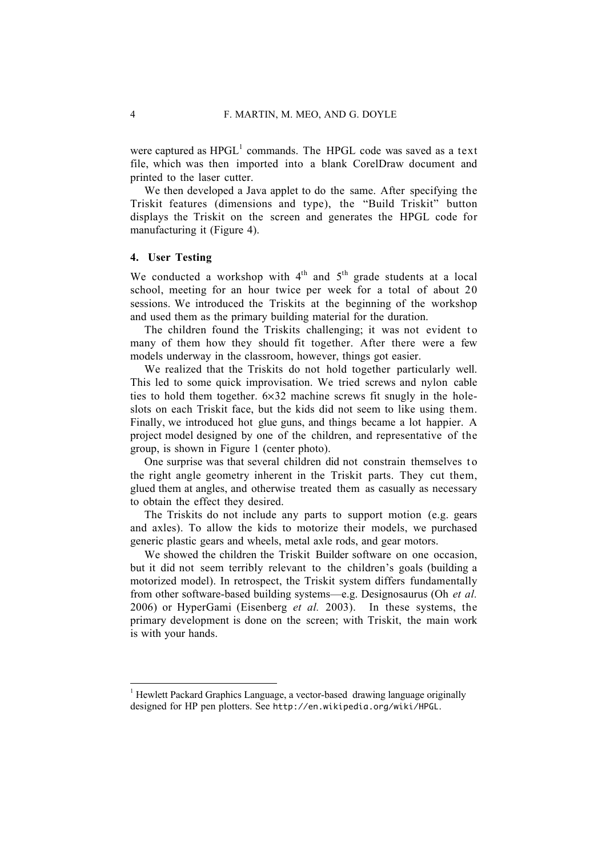were captured as  $HPGL<sup>1</sup>$  commands. The HPGL code was saved as a text file, which was then imported into a blank CorelDraw document and printed to the laser cutter.

We then developed a Java applet to do the same. After specifying the Triskit features (dimensions and type), the "Build Triskit" button displays the Triskit on the screen and generates the HPGL code for manufacturing it (Figure 4).

### 4. User Testing

We conducted a workshop with  $4<sup>th</sup>$  and  $5<sup>th</sup>$  grade students at a local school, meeting for an hour twice per week for a total of about 20 sessions. We introduced the Triskits at the beginning of the workshop and used them as the primary building material for the duration.

The children found the Triskits challenging; it was not evident to many of them how they should fit together. After there were a few models underway in the classroom, however, things got easier.

We realized that the Triskits do not hold together particularly well. This led to some quick improvisation. We tried screws and nylon cable ties to hold them together.  $6 \times 32$  machine screws fit snugly in the holeslots on each Triskit face, but the kids did not seem to like using them. Finally, we introduced hot glue guns, and things became a lot happier. A project model designed by one of the children, and representative of the group, is shown in Figure 1 (center photo).

One surprise was that several children did not constrain themselves to the right angle geometry inherent in the Triskit parts. They cut them, glued them at angles, and otherwise treated them as casually as necessary to obtain the effect they desired.

The Triskits do not include any parts to support motion (e.g. gears and axles). To allow the kids to motorize their models, we purchased generic plastic gears and wheels, metal axle rods, and gear motors.

We showed the children the Triskit Builder software on one occasion, but it did not seem terribly relevant to the children's goals (building a motorized model). In retrospect, the Triskit system differs fundamentally from other software-based building systems—e.g. Designosaurus (Oh et al. 2006) or HyperGami (Eisenberg et al. 2003). In these systems, the primary development is done on the screen; with Triskit, the main work is with your hands.

<sup>1</sup> Hewlett Packard Graphics Language, a vector-based drawing language originally designed for HP pen plotters. See http://en.wikipedia.org/wiki/HPGL.